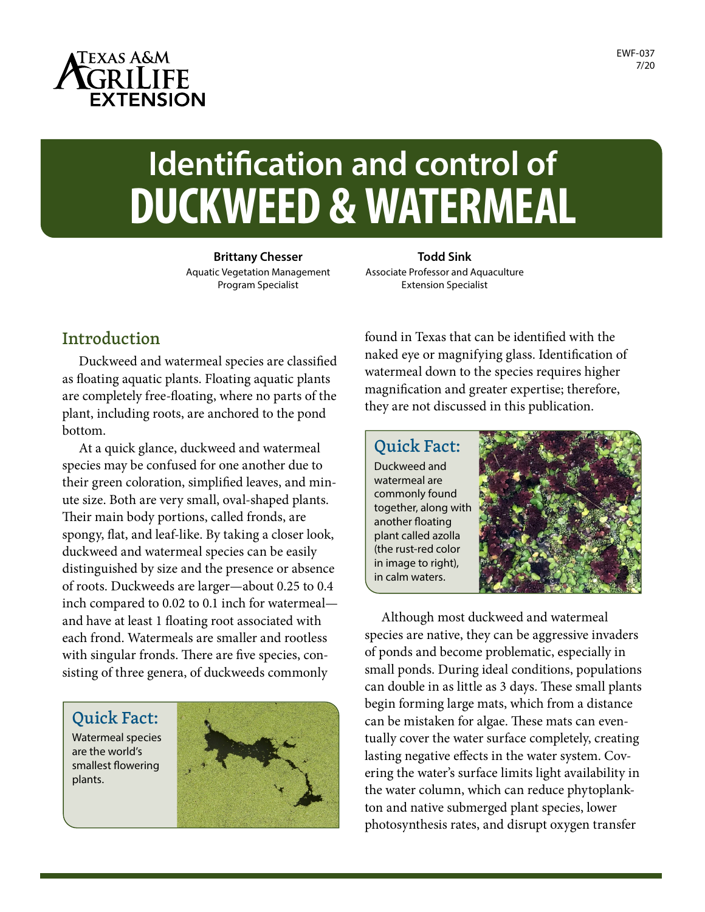

# **Identification and control of DUCKWEED & WATERMEAL**

**Brittany Chesser** Aquatic Vegetation Management Program Specialist

**Todd Sink** Associate Professor and Aquaculture Extension Specialist

#### Introduction

Duckweed and watermeal species are classified as floating aquatic plants. Floating aquatic plants are completely free-floating, where no parts of the plant, including roots, are anchored to the pond bottom.

At a quick glance, duckweed and watermeal species may be confused for one another due to their green coloration, simplified leaves, and minute size. Both are very small, oval-shaped plants. Their main body portions, called fronds, are spongy, flat, and leaf-like. By taking a closer look, duckweed and watermeal species can be easily distinguished by size and the presence or absence of roots. Duckweeds are larger—about 0.25 to 0.4 inch compared to 0.02 to 0.1 inch for watermeal and have at least 1 floating root associated with each frond. Watermeals are smaller and rootless with singular fronds. There are five species, consisting of three genera, of duckweeds commonly

Quick Fact: Watermeal species

are the world's smallest flowering plants.



found in Texas that can be identified with the naked eye or magnifying glass. Identification of watermeal down to the species requires higher magnification and greater expertise; therefore, they are not discussed in this publication.

Quick Fact: Duckweed and watermeal are commonly found together, along with another floating plant called azolla (the rust-red color in image to right), in calm waters.



Although most duckweed and watermeal species are native, they can be aggressive invaders of ponds and become problematic, especially in small ponds. During ideal conditions, populations can double in as little as 3 days. These small plants begin forming large mats, which from a distance can be mistaken for algae. These mats can eventually cover the water surface completely, creating lasting negative effects in the water system. Covering the water's surface limits light availability in the water column, which can reduce phytoplankton and native submerged plant species, lower photosynthesis rates, and disrupt oxygen transfer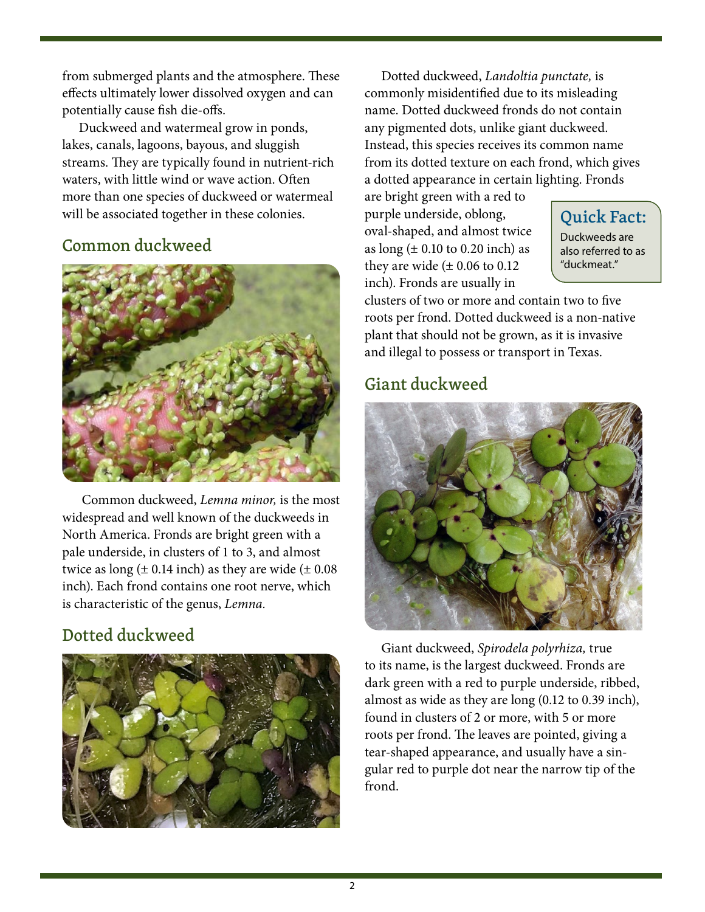from submerged plants and the atmosphere. These effects ultimately lower dissolved oxygen and can potentially cause fish die-offs.

Duckweed and watermeal grow in ponds, lakes, canals, lagoons, bayous, and sluggish streams. They are typically found in nutrient-rich waters, with little wind or wave action. Often more than one species of duckweed or watermeal will be associated together in these colonies.

## Common duckweed



 Common duckweed, *Lemna minor,* is the most widespread and well known of the duckweeds in North America. Fronds are bright green with a pale underside, in clusters of 1 to 3, and almost twice as long  $(\pm 0.14 \text{ inch})$  as they are wide  $(\pm 0.08 \text{ ft})$ inch). Each frond contains one root nerve, which is characteristic of the genus, *Lemna.* 

## Dotted duckweed



Dotted duckweed, *Landoltia punctate,* is commonly misidentified due to its misleading name. Dotted duckweed fronds do not contain any pigmented dots, unlike giant duckweed. Instead, this species receives its common name from its dotted texture on each frond, which gives a dotted appearance in certain lighting. Fronds

are bright green with a red to purple underside, oblong, oval-shaped, and almost twice as long  $(\pm 0.10 \text{ to } 0.20 \text{ inch})$  as they are wide  $(\pm 0.06 \text{ to } 0.12)$ inch). Fronds are usually in

Quick Fact:

Duckweeds are also referred to as "duckmeat."

clusters of two or more and contain two to five roots per frond. Dotted duckweed is a non-native plant that should not be grown, as it is invasive and illegal to possess or transport in Texas.

## Giant duckweed



Giant duckweed, *Spirodela polyrhiza,* true to its name, is the largest duckweed. Fronds are dark green with a red to purple underside, ribbed, almost as wide as they are long (0.12 to 0.39 inch), found in clusters of 2 or more, with 5 or more roots per frond. The leaves are pointed, giving a tear-shaped appearance, and usually have a singular red to purple dot near the narrow tip of the frond.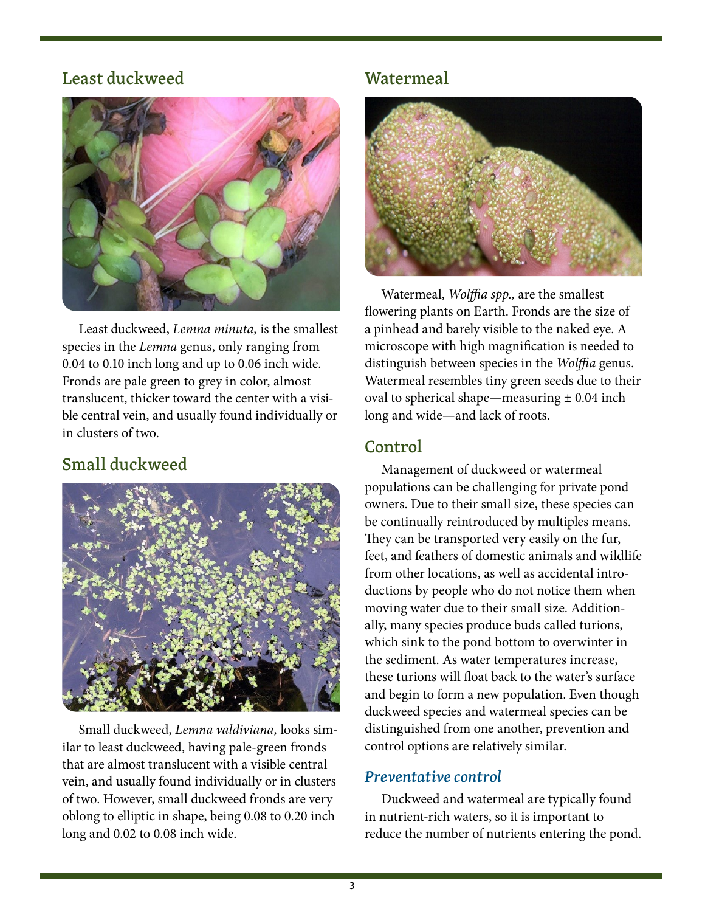#### Least duckweed



Least duckweed, *Lemna minuta,* is the smallest species in the *Lemna* genus, only ranging from 0.04 to 0.10 inch long and up to 0.06 inch wide. Fronds are pale green to grey in color, almost translucent, thicker toward the center with a visible central vein, and usually found individually or in clusters of two.

## Small duckweed



Small duckweed, *Lemna valdiviana,* looks similar to least duckweed, having pale-green fronds that are almost translucent with a visible central vein, and usually found individually or in clusters of two. However, small duckweed fronds are very oblong to elliptic in shape, being 0.08 to 0.20 inch long and 0.02 to 0.08 inch wide.

### Watermeal



Watermeal, *Wolffia spp.,* are the smallest flowering plants on Earth. Fronds are the size of a pinhead and barely visible to the naked eye. A microscope with high magnification is needed to distinguish between species in the *Wolffia* genus. Watermeal resembles tiny green seeds due to their oval to spherical shape—measuring  $\pm$  0.04 inch long and wide—and lack of roots.

## Control

Management of duckweed or watermeal populations can be challenging for private pond owners. Due to their small size, these species can be continually reintroduced by multiples means. They can be transported very easily on the fur, feet, and feathers of domestic animals and wildlife from other locations, as well as accidental introductions by people who do not notice them when moving water due to their small size. Additionally, many species produce buds called turions, which sink to the pond bottom to overwinter in the sediment. As water temperatures increase, these turions will float back to the water's surface and begin to form a new population. Even though duckweed species and watermeal species can be distinguished from one another, prevention and control options are relatively similar.

#### *Preventative control*

Duckweed and watermeal are typically found in nutrient-rich waters, so it is important to reduce the number of nutrients entering the pond.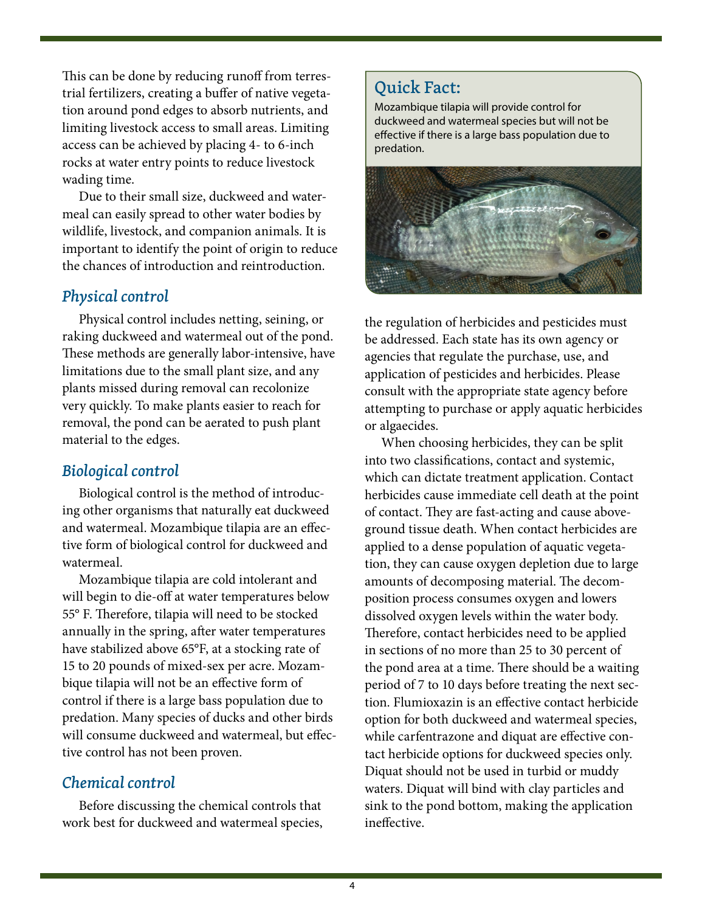This can be done by reducing runoff from terrestrial fertilizers, creating a buffer of native vegetation around pond edges to absorb nutrients, and limiting livestock access to small areas. Limiting access can be achieved by placing 4- to 6-inch rocks at water entry points to reduce livestock wading time.

Due to their small size, duckweed and watermeal can easily spread to other water bodies by wildlife, livestock, and companion animals. It is important to identify the point of origin to reduce the chances of introduction and reintroduction.

#### *Physical control*

Physical control includes netting, seining, or raking duckweed and watermeal out of the pond. These methods are generally labor-intensive, have limitations due to the small plant size, and any plants missed during removal can recolonize very quickly. To make plants easier to reach for removal, the pond can be aerated to push plant material to the edges.

#### *Biological control*

Biological control is the method of introducing other organisms that naturally eat duckweed and watermeal. Mozambique tilapia are an effective form of biological control for duckweed and watermeal.

Mozambique tilapia are cold intolerant and will begin to die-off at water temperatures below 55° F. Therefore, tilapia will need to be stocked annually in the spring, after water temperatures have stabilized above 65°F, at a stocking rate of 15 to 20 pounds of mixed-sex per acre. Mozambique tilapia will not be an effective form of control if there is a large bass population due to predation. Many species of ducks and other birds will consume duckweed and watermeal, but effective control has not been proven.

#### *Chemical control*

Before discussing the chemical controls that work best for duckweed and watermeal species,

#### Quick Fact:

Mozambique tilapia will provide control for duckweed and watermeal species but will not be effective if there is a large bass population due to predation.



the regulation of herbicides and pesticides must be addressed. Each state has its own agency or agencies that regulate the purchase, use, and application of pesticides and herbicides. Please consult with the appropriate state agency before attempting to purchase or apply aquatic herbicides or algaecides.

When choosing herbicides, they can be split into two classifications, contact and systemic, which can dictate treatment application. Contact herbicides cause immediate cell death at the point of contact. They are fast-acting and cause aboveground tissue death. When contact herbicides are applied to a dense population of aquatic vegetation, they can cause oxygen depletion due to large amounts of decomposing material. The decomposition process consumes oxygen and lowers dissolved oxygen levels within the water body. Therefore, contact herbicides need to be applied in sections of no more than 25 to 30 percent of the pond area at a time. There should be a waiting period of 7 to 10 days before treating the next section. Flumioxazin is an effective contact herbicide option for both duckweed and watermeal species, while carfentrazone and diquat are effective contact herbicide options for duckweed species only. Diquat should not be used in turbid or muddy waters. Diquat will bind with clay particles and sink to the pond bottom, making the application ineffective.